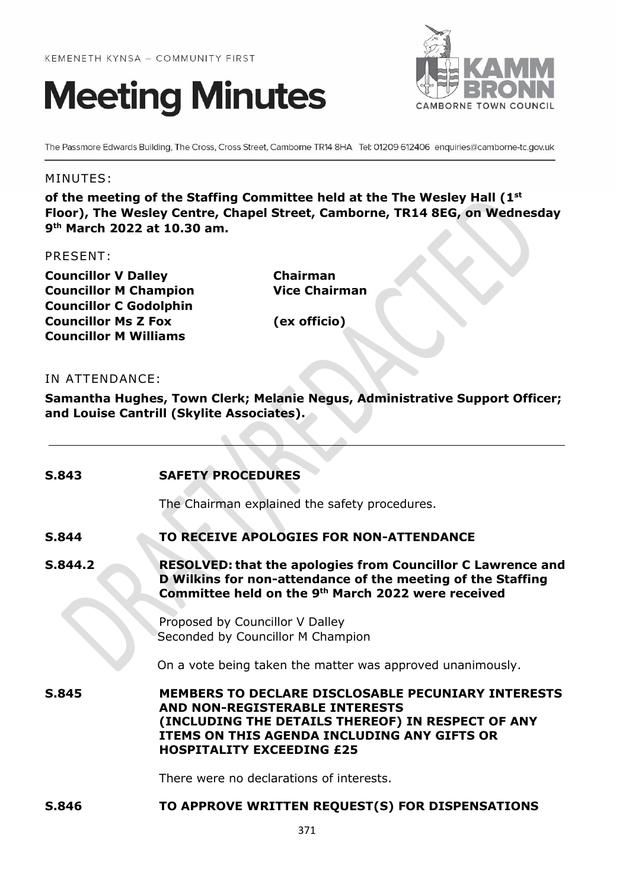



The Passmore Edwards Building, The Cross, Cross Street, Camborne TR14 8HA Tel: 01209 612406 enquiries@camborne-tc.gov.uk

# MINUTES:

**of the meeting of the Staffing Committee held at the The Wesley Hall (1st Floor), The Wesley Centre, Chapel Street, Camborne, TR14 8EG, on Wednesday 9 th March 2022 at 10.30 am.**

## PRESENT:

**Councillor V Dalley Chairman Councillor M Champion Vice Chairman Councillor C Godolphin Councillor Ms Z Fox (ex officio) Councillor M Williams**

# IN ATTENDANCE:

**Samantha Hughes, Town Clerk; Melanie Negus, Administrative Support Officer; and Louise Cantrill (Skylite Associates).**

| S.843   | <b>SAFETY PROCEDURES</b>                                                                                                                                                                                                                   |
|---------|--------------------------------------------------------------------------------------------------------------------------------------------------------------------------------------------------------------------------------------------|
|         | The Chairman explained the safety procedures.                                                                                                                                                                                              |
| S.844   | TO RECEIVE APOLOGIES FOR NON-ATTENDANCE                                                                                                                                                                                                    |
| S.844.2 | <b>RESOLVED: that the apologies from Councillor C Lawrence and</b><br>D Wilkins for non-attendance of the meeting of the Staffing<br>Committee held on the 9th March 2022 were received                                                    |
|         | Proposed by Councillor V Dalley<br>Seconded by Councillor M Champion                                                                                                                                                                       |
|         | On a vote being taken the matter was approved unanimously.                                                                                                                                                                                 |
| S.845   | <b>MEMBERS TO DECLARE DISCLOSABLE PECUNIARY INTERESTS</b><br><b>AND NON-REGISTERABLE INTERESTS</b><br>(INCLUDING THE DETAILS THEREOF) IN RESPECT OF ANY<br>ITEMS ON THIS AGENDA INCLUDING ANY GIFTS OR<br><b>HOSPITALITY EXCEEDING £25</b> |
|         | There were no declarations of interests.                                                                                                                                                                                                   |
| S.846   | TO APPROVE WRITTEN REQUEST(S) FOR DISPENSATIONS                                                                                                                                                                                            |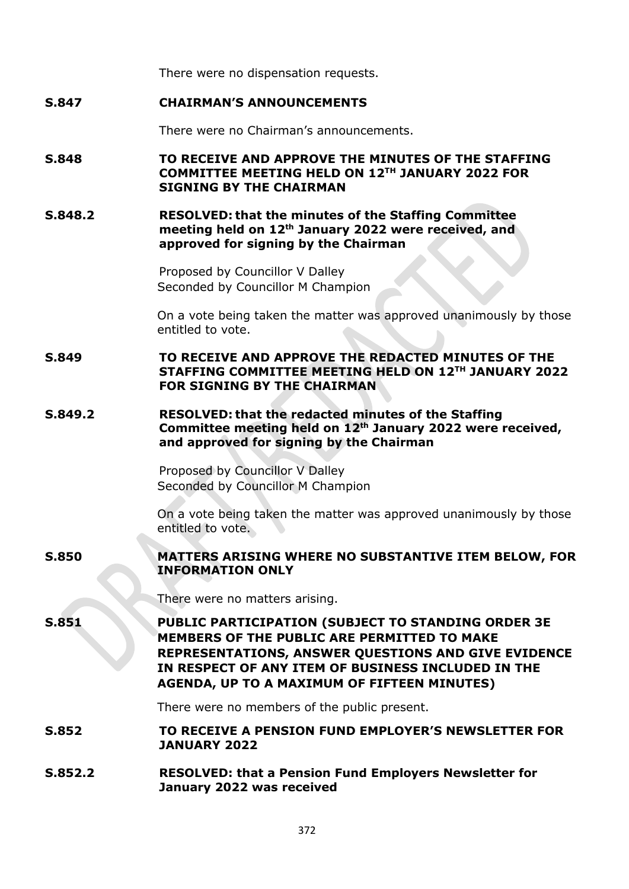There were no dispensation requests.

# **S.847 CHAIRMAN'S ANNOUNCEMENTS**

There were no Chairman's announcements.

# **S.848 TO RECEIVE AND APPROVE THE MINUTES OF THE STAFFING COMMITTEE MEETING HELD ON 12TH JANUARY 2022 FOR SIGNING BY THE CHAIRMAN**

### **S.848.2 RESOLVED: that the minutes of the Staffing Committee meeting held on 12th January 2022 were received, and approved for signing by the Chairman**

Proposed by Councillor V Dalley Seconded by Councillor M Champion

On a vote being taken the matter was approved unanimously by those entitled to vote.

**S.849 TO RECEIVE AND APPROVE THE REDACTED MINUTES OF THE STAFFING COMMITTEE MEETING HELD ON 12TH JANUARY 2022 FOR SIGNING BY THE CHAIRMAN**

# **S.849.2 RESOLVED: that the redacted minutes of the Staffing Committee meeting held on 12th January 2022 were received, and approved for signing by the Chairman**

Proposed by Councillor V Dalley Seconded by Councillor M Champion

On a vote being taken the matter was approved unanimously by those entitled to vote.

# **S.850 MATTERS ARISING WHERE NO SUBSTANTIVE ITEM BELOW, FOR INFORMATION ONLY**

There were no matters arising.

**S.851 PUBLIC PARTICIPATION (SUBJECT TO STANDING ORDER 3E MEMBERS OF THE PUBLIC ARE PERMITTED TO MAKE REPRESENTATIONS, ANSWER QUESTIONS AND GIVE EVIDENCE IN RESPECT OF ANY ITEM OF BUSINESS INCLUDED IN THE AGENDA, UP TO A MAXIMUM OF FIFTEEN MINUTES)**

There were no members of the public present.

**S.852 TO RECEIVE A PENSION FUND EMPLOYER'S NEWSLETTER FOR JANUARY 2022**

**S.852.2 RESOLVED: that a Pension Fund Employers Newsletter for January 2022 was received**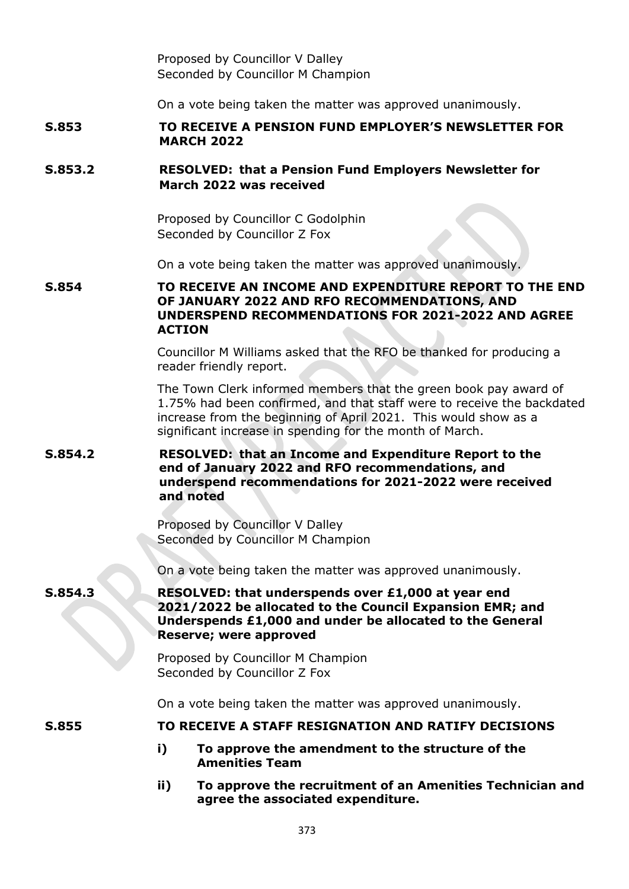Proposed by Councillor V Dalley Seconded by Councillor M Champion

On a vote being taken the matter was approved unanimously.

# **S.853 TO RECEIVE A PENSION FUND EMPLOYER'S NEWSLETTER FOR MARCH 2022**

# **S.853.2 RESOLVED: that a Pension Fund Employers Newsletter for March 2022 was received**

Proposed by Councillor C Godolphin Seconded by Councillor Z Fox

On a vote being taken the matter was approved unanimously.

# **S.854 TO RECEIVE AN INCOME AND EXPENDITURE REPORT TO THE END OF JANUARY 2022 AND RFO RECOMMENDATIONS, AND UNDERSPEND RECOMMENDATIONS FOR 2021-2022 AND AGREE ACTION**

Councillor M Williams asked that the RFO be thanked for producing a reader friendly report.

The Town Clerk informed members that the green book pay award of 1.75% had been confirmed, and that staff were to receive the backdated increase from the beginning of April 2021. This would show as a significant increase in spending for the month of March.

### **S.854.2 RESOLVED: that an Income and Expenditure Report to the end of January 2022 and RFO recommendations, and underspend recommendations for 2021-2022 were received and noted**

Proposed by Councillor V Dalley Seconded by Councillor M Champion

On a vote being taken the matter was approved unanimously.

**S.854.3 RESOLVED: that underspends over £1,000 at year end 2021/2022 be allocated to the Council Expansion EMR; and Underspends £1,000 and under be allocated to the General Reserve; were approved**

> Proposed by Councillor M Champion Seconded by Councillor Z Fox

On a vote being taken the matter was approved unanimously.

## **S.855 TO RECEIVE A STAFF RESIGNATION AND RATIFY DECISIONS**

- **i) To approve the amendment to the structure of the Amenities Team**
- **ii) To approve the recruitment of an Amenities Technician and agree the associated expenditure.**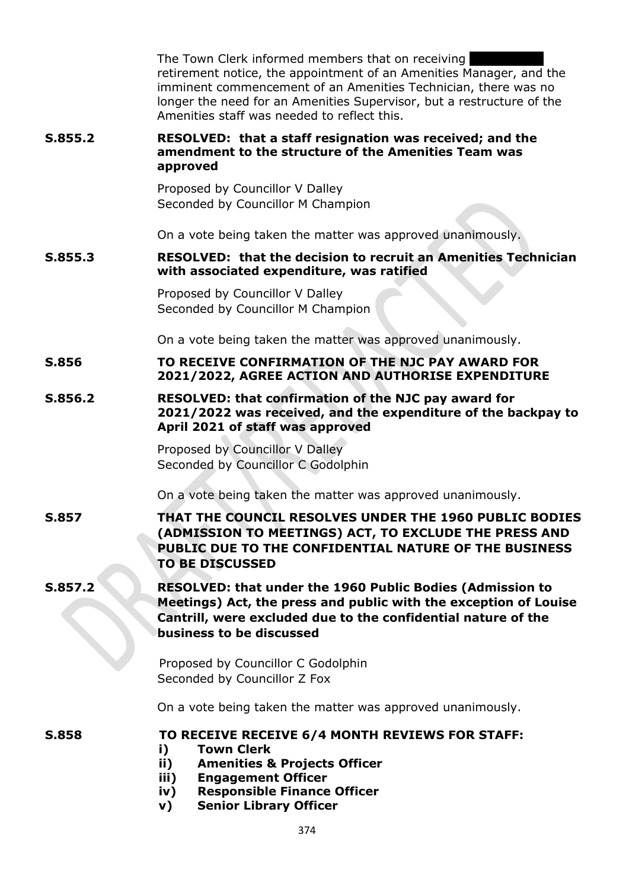|         | The Town Clerk informed members that on receiving<br>retirement notice, the appointment of an Amenities Manager, and the<br>imminent commencement of an Amenities Technician, there was no<br>longer the need for an Amenities Supervisor, but a restructure of the<br>Amenities staff was needed to reflect this. |
|---------|--------------------------------------------------------------------------------------------------------------------------------------------------------------------------------------------------------------------------------------------------------------------------------------------------------------------|
| S.855.2 | RESOLVED: that a staff resignation was received; and the<br>amendment to the structure of the Amenities Team was<br>approved                                                                                                                                                                                       |
|         | Proposed by Councillor V Dalley<br>Seconded by Councillor M Champion                                                                                                                                                                                                                                               |
|         | On a vote being taken the matter was approved unanimously.                                                                                                                                                                                                                                                         |
| S.855.3 | <b>RESOLVED: that the decision to recruit an Amenities Technician</b><br>with associated expenditure, was ratified                                                                                                                                                                                                 |
|         | Proposed by Councillor V Dalley<br>Seconded by Councillor M Champion                                                                                                                                                                                                                                               |
|         | On a vote being taken the matter was approved unanimously.                                                                                                                                                                                                                                                         |
| S.856   | TO RECEIVE CONFIRMATION OF THE NJC PAY AWARD FOR<br>2021/2022, AGREE ACTION AND AUTHORISE EXPENDITURE                                                                                                                                                                                                              |
| S.856.2 | <b>RESOLVED: that confirmation of the NJC pay award for</b><br>2021/2022 was received, and the expenditure of the backpay to<br>April 2021 of staff was approved                                                                                                                                                   |
|         | Proposed by Councillor V Dalley<br>Seconded by Councillor C Godolphin                                                                                                                                                                                                                                              |
|         | On a vote being taken the matter was approved unanimously.                                                                                                                                                                                                                                                         |
| S.857   | THAT THE COUNCIL RESOLVES UNDER THE 1960 PUBLIC BODIES<br>(ADMISSION TO MEETINGS) ACT, TO EXCLUDE THE PRESS AND<br>PUBLIC DUE TO THE CONFIDENTIAL NATURE OF THE BUSINESS<br><b>TO BE DISCUSSED</b>                                                                                                                 |
| S.857.2 | <b>RESOLVED: that under the 1960 Public Bodies (Admission to</b><br>Meetings) Act, the press and public with the exception of Louise<br>Cantrill, were excluded due to the confidential nature of the<br>business to be discussed                                                                                  |
|         | Proposed by Councillor C Godolphin<br>Seconded by Councillor Z Fox                                                                                                                                                                                                                                                 |
|         | On a vote being taken the matter was approved unanimously.                                                                                                                                                                                                                                                         |
| S.858   | TO RECEIVE RECEIVE 6/4 MONTH REVIEWS FOR STAFF:<br><b>Town Clerk</b><br>i)<br><b>Amenities &amp; Projects Officer</b><br>ii)<br>iii)<br><b>Engagement Officer</b><br><b>Responsible Finance Officer</b><br>iv)<br><b>Senior Library Officer</b><br>v)                                                              |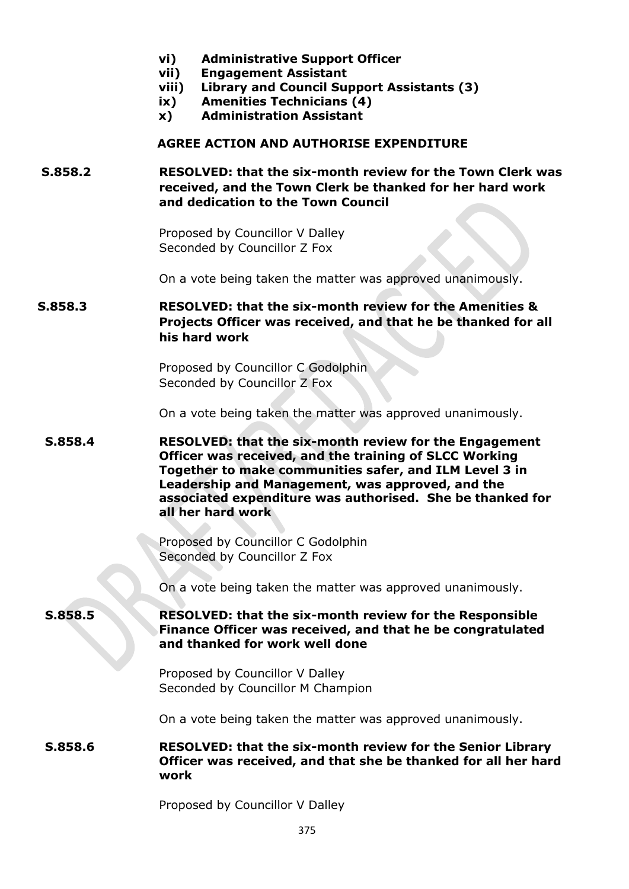| vi) | <b>Administrative Support Officer</b> |
|-----|---------------------------------------|
|-----|---------------------------------------|

- **vii) Engagement Assistant**
- **viii) Library and Council Support Assistants (3)**
- **ix) Amenities Technicians (4)**
- **x) Administration Assistant**

#### **AGREE ACTION AND AUTHORISE EXPENDITURE**

# **S.858.2 RESOLVED: that the six-month review for the Town Clerk was received, and the Town Clerk be thanked for her hard work and dedication to the Town Council**

Proposed by Councillor V Dalley Seconded by Councillor Z Fox

On a vote being taken the matter was approved unanimously.

# **S.858.3 RESOLVED: that the six-month review for the Amenities & Projects Officer was received, and that he be thanked for all his hard work**

Proposed by Councillor C Godolphin Seconded by Councillor Z Fox

On a vote being taken the matter was approved unanimously.

# **S.858.4 RESOLVED: that the six-month review for the Engagement Officer was received, and the training of SLCC Working Together to make communities safer, and ILM Level 3 in Leadership and Management, was approved, and the associated expenditure was authorised. She be thanked for all her hard work**

Proposed by Councillor C Godolphin Seconded by Councillor Z Fox

On a vote being taken the matter was approved unanimously.

**S.858.5 RESOLVED: that the six-month review for the Responsible Finance Officer was received, and that he be congratulated and thanked for work well done**

> Proposed by Councillor V Dalley Seconded by Councillor M Champion

On a vote being taken the matter was approved unanimously.

### **S.858.6 RESOLVED: that the six-month review for the Senior Library Officer was received, and that she be thanked for all her hard work**

Proposed by Councillor V Dalley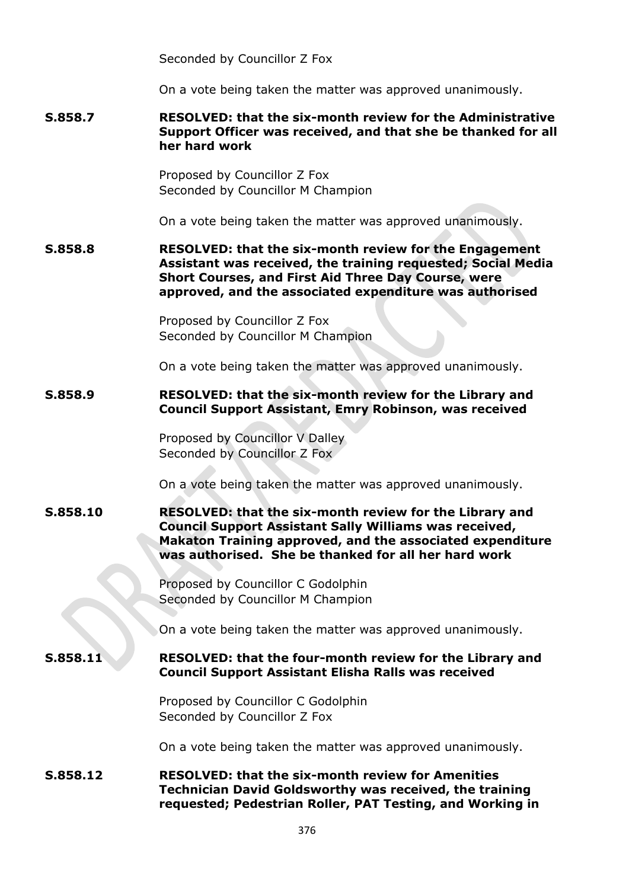Seconded by Councillor Z Fox

On a vote being taken the matter was approved unanimously.

## **S.858.7 RESOLVED: that the six-month review for the Administrative Support Officer was received, and that she be thanked for all her hard work**

Proposed by Councillor Z Fox Seconded by Councillor M Champion

On a vote being taken the matter was approved unanimously.

**S.858.8 RESOLVED: that the six-month review for the Engagement Assistant was received, the training requested; Social Media Short Courses, and First Aid Three Day Course, were approved, and the associated expenditure was authorised**

> Proposed by Councillor Z Fox Seconded by Councillor M Champion

On a vote being taken the matter was approved unanimously.

#### **S.858.9 RESOLVED: that the six-month review for the Library and Council Support Assistant, Emry Robinson, was received**

Proposed by Councillor V Dalley Seconded by Councillor Z Fox

On a vote being taken the matter was approved unanimously.

### **S.858.10 RESOLVED: that the six-month review for the Library and Council Support Assistant Sally Williams was received, Makaton Training approved, and the associated expenditure was authorised. She be thanked for all her hard work**

Proposed by Councillor C Godolphin Seconded by Councillor M Champion

On a vote being taken the matter was approved unanimously.

### **S.858.11 RESOLVED: that the four-month review for the Library and Council Support Assistant Elisha Ralls was received**

Proposed by Councillor C Godolphin Seconded by Councillor Z Fox

On a vote being taken the matter was approved unanimously.

**S.858.12 RESOLVED: that the six-month review for Amenities Technician David Goldsworthy was received, the training requested; Pedestrian Roller, PAT Testing, and Working in**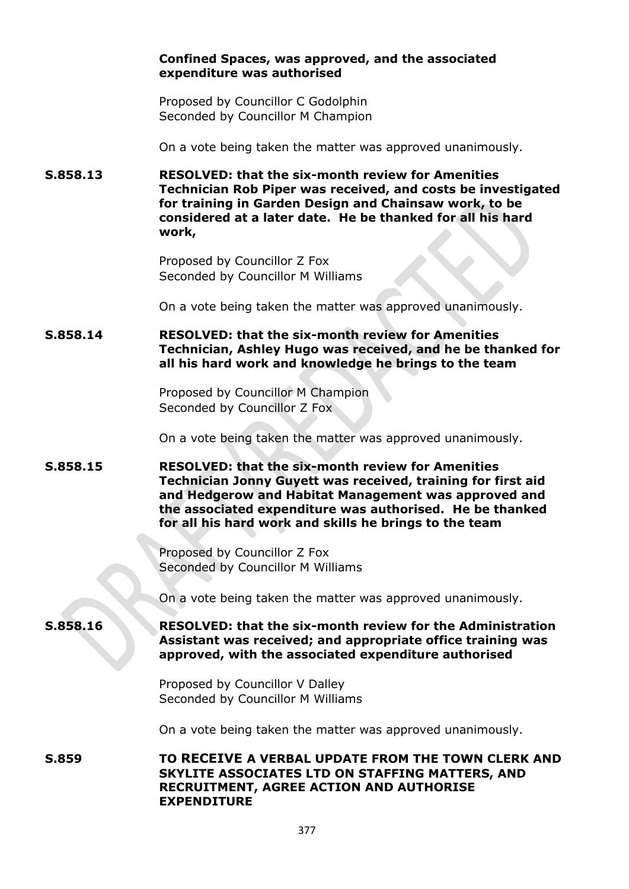### **Confined Spaces, was approved, and the associated expenditure was authorised**

Proposed by Councillor C Godolphin Seconded by Councillor M Champion

On a vote being taken the matter was approved unanimously.

**S.858.13 RESOLVED: that the six-month review for Amenities Technician Rob Piper was received, and costs be investigated for training in Garden Design and Chainsaw work, to be considered at a later date. He be thanked for all his hard work,**

> Proposed by Councillor Z Fox Seconded by Councillor M Williams

On a vote being taken the matter was approved unanimously.

**S.858.14 RESOLVED: that the six-month review for Amenities Technician, Ashley Hugo was received, and he be thanked for all his hard work and knowledge he brings to the team**

> Proposed by Councillor M Champion Seconded by Councillor Z Fox

On a vote being taken the matter was approved unanimously.

**S.858.15 RESOLVED: that the six-month review for Amenities Technician Jonny Guyett was received, training for first aid and Hedgerow and Habitat Management was approved and the associated expenditure was authorised. He be thanked for all his hard work and skills he brings to the team**

> Proposed by Councillor Z Fox Seconded by Councillor M Williams

On a vote being taken the matter was approved unanimously.

**S.858.16 RESOLVED: that the six-month review for the Administration Assistant was received; and appropriate office training was approved, with the associated expenditure authorised**

> Proposed by Councillor V Dalley Seconded by Councillor M Williams

On a vote being taken the matter was approved unanimously.

**S.859 TO RECEIVE A VERBAL UPDATE FROM THE TOWN CLERK AND SKYLITE ASSOCIATES LTD ON STAFFING MATTERS, AND RECRUITMENT, AGREE ACTION AND AUTHORISE EXPENDITURE**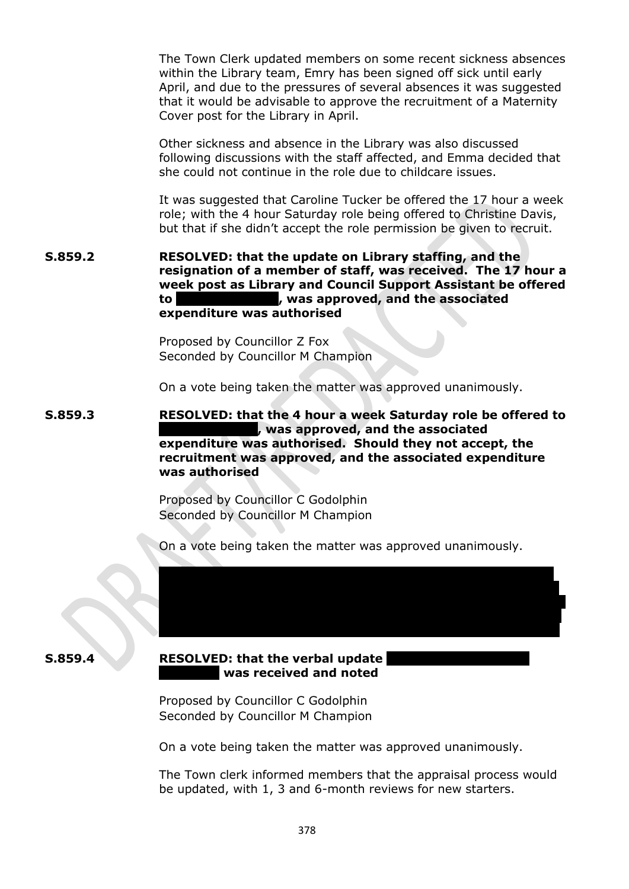The Town Clerk updated members on some recent sickness absences within the Library team, Emry has been signed off sick until early April, and due to the pressures of several absences it was suggested that it would be advisable to approve the recruitment of a Maternity Cover post for the Library in April.

Other sickness and absence in the Library was also discussed following discussions with the staff affected, and Emma decided that she could not continue in the role due to childcare issues.

It was suggested that Caroline Tucker be offered the 17 hour a week role; with the 4 hour Saturday role being offered to Christine Davis, but that if she didn't accept the role permission be given to recruit.

**S.859.2 RESOLVED: that the update on Library staffing, and the resignation of a member of staff, was received. The 17 hour a week post as Library and Council Support Assistant be offered to Caroline Tucker, was approved, and the associated expenditure was authorised**

> Proposed by Councillor Z Fox Seconded by Councillor M Champion

On a vote being taken the matter was approved unanimously.

**S.859.3 RESOLVED: that the 4 hour a week Saturday role be offered to Christine Davis, was approved, and the associated expenditure was authorised. Should they not accept, the recruitment was approved, and the associated expenditure was authorised**

> Proposed by Councillor C Godolphin Seconded by Councillor M Champion

On a vote being taken the matter was approved unanimously.

the Administration Assistant and her progress to date, she has been placed under a performance improvement plan. Weekly meetings are being held with her manager to review performance and support her

#### **S.859.4 RESOLVED:** that the verbal update **Assistant was received and noted**

Proposed by Councillor C Godolphin Seconded by Councillor M Champion

On a vote being taken the matter was approved unanimously.

The Town clerk informed members that the appraisal process would be updated, with 1, 3 and 6-month reviews for new starters.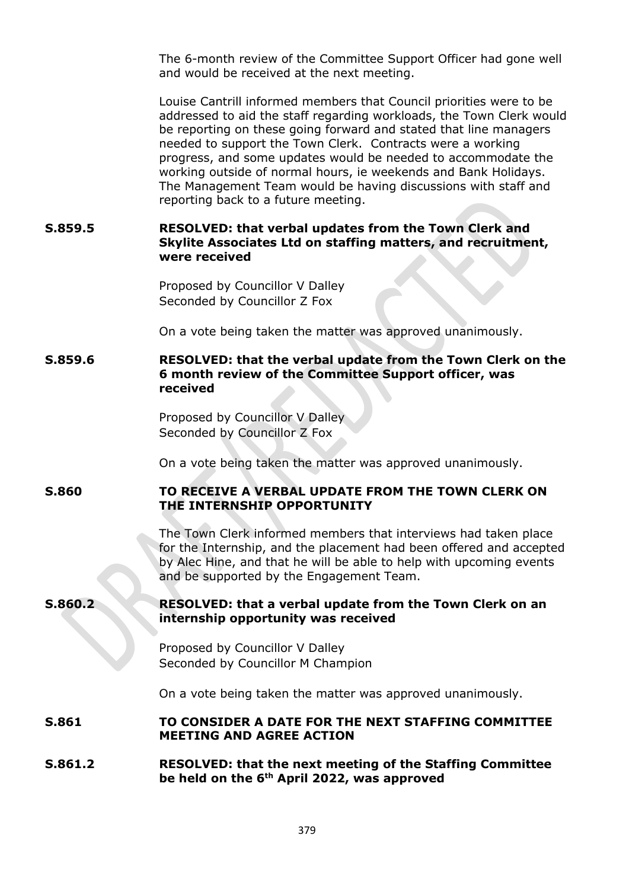The 6-month review of the Committee Support Officer had gone well and would be received at the next meeting.

Louise Cantrill informed members that Council priorities were to be addressed to aid the staff regarding workloads, the Town Clerk would be reporting on these going forward and stated that line managers needed to support the Town Clerk. Contracts were a working progress, and some updates would be needed to accommodate the working outside of normal hours, ie weekends and Bank Holidays. The Management Team would be having discussions with staff and reporting back to a future meeting.

# **S.859.5 RESOLVED: that verbal updates from the Town Clerk and Skylite Associates Ltd on staffing matters, and recruitment, were received**

Proposed by Councillor V Dalley Seconded by Councillor Z Fox

On a vote being taken the matter was approved unanimously.

## **S.859.6 RESOLVED: that the verbal update from the Town Clerk on the 6 month review of the Committee Support officer, was received**

Proposed by Councillor V Dalley Seconded by Councillor Z Fox

On a vote being taken the matter was approved unanimously.

### **S.860 TO RECEIVE A VERBAL UPDATE FROM THE TOWN CLERK ON THE INTERNSHIP OPPORTUNITY**

The Town Clerk informed members that interviews had taken place for the Internship, and the placement had been offered and accepted by Alec Hine, and that he will be able to help with upcoming events and be supported by the Engagement Team.

# **S.860.2 RESOLVED: that a verbal update from the Town Clerk on an internship opportunity was received**

Proposed by Councillor V Dalley Seconded by Councillor M Champion

On a vote being taken the matter was approved unanimously.

## **S.861 TO CONSIDER A DATE FOR THE NEXT STAFFING COMMITTEE MEETING AND AGREE ACTION**

### **S.861.2 RESOLVED: that the next meeting of the Staffing Committee be held on the 6th April 2022, was approved**